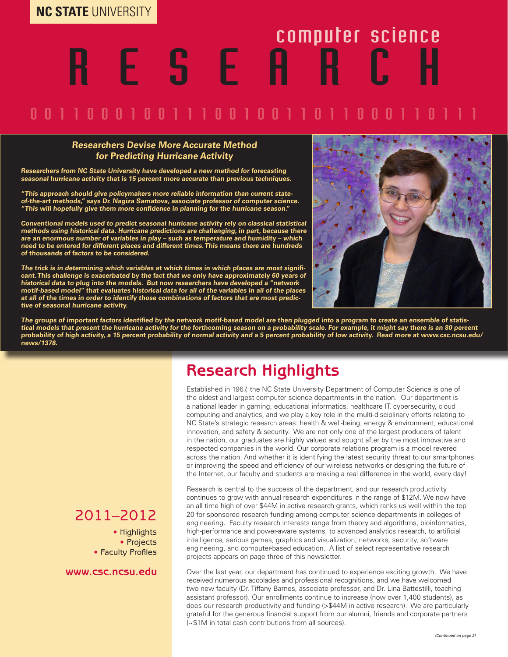# R E S E A R C H computer science

### 0 0 1 1 0 0 0 1 0 0 1 1 0 0 1 0 0 1 1 0 1 1 0 0 1 1 0

#### **Researchers Devise More Accurate Method for Predicting Hurricane Activity**

**Researchers from NC State University have developed a new method for forecasting seasonal hurricane activity that is 15 percent more accurate than previous techniques.**

**"This approach should give policymakers more reliable information than current stateof-the-art methods," says Dr. Nagiza Samatova, associate professor of computer science. "This will hopefully give them more confidence in planning for the hurricane season."**

**Conventional models used to predict seasonal hurricane activity rely on classical statistical methods using historical data. Hurricane predictions are challenging, in part, because there are an enormous number of variables in play – such as temperature and humidity – which need to be entered for different places and different times. This means there are hundreds of thousands of factors to be considered.**

**The trick is in determining which variables at which times in which places are most significant. This challenge is exacerbated by the fact that we only have approximately 60 years of historical data to plug into the models. But now researchers have developed a "network motif-based model" that evaluates historical data for all of the variables in all of the places at all of the times in order to identify those combinations of factors that are most predictive of seasonal hurricane activity.** 



**The groups of important factors identified by the network motif-based model are then plugged into a program to create an ensemble of statistical models that present the hurricane activity for the forthcoming season on a probability scale. For example, it might say there is an 80 percent probability of high activity, a 15 percent probability of normal activity and a 5 percent probability of low activity. Read more at www.csc.ncsu.edu/ news/1378.**

### **Research Highlights**

Established in 1967, the NC State University Department of Computer Science is one of the oldest and largest computer science departments in the nation. Our department is a national leader in gaming, educational informatics, healthcare IT, cybersecurity, cloud computing and analytics, and we play a key role in the multi-disciplinary efforts relating to NC State's strategic research areas: health & well-being, energy & environment, educational innovation, and safety & security. We are not only one of the largest producers of talent in the nation, our graduates are highly valued and sought after by the most innovative and respected companies in the world. Our corporate relations program is a model revered across the nation. And whether it is identifying the latest security threat to our smartphones or improving the speed and efficiency of our wireless networks or designing the future of the Internet, our faculty and students are making a real difference in the world, every day!

Research is central to the success of the department, and our research productivity continues to grow with annual research expenditures in the range of \$12M. We now have an all time high of over \$44M in active research grants, which ranks us well within the top 20 for sponsored research funding among computer science departments in colleges of engineering. Faculty research interests range from theory and algorithms, bioinformatics, high-performance and power-aware systems, to advanced analytics research, to artificial intelligence, serious games, graphics and visualization, networks, security, software engineering, and computer-based education. A list of select representative research projects appears on page three of this newsletter.

Over the last year, our department has continued to experience exciting growth. We have received numerous accolades and professional recognitions, and we have welcomed two new faculty (Dr. Tiffany Barnes, associate professor, and Dr. Lina Battestilli, teaching assistant professor). Our enrollments continue to increase (now over 1,400 students), as does our research productivity and funding (>\$44M in active research). We are particularly grateful for the generous financial support from our alumni, friends and corporate partners (~\$1M in total cash contributions from all sources).

#### 2011–2012

• Highlights • Projects • Faculty Profiles

#### **www.csc.ncsu.edu**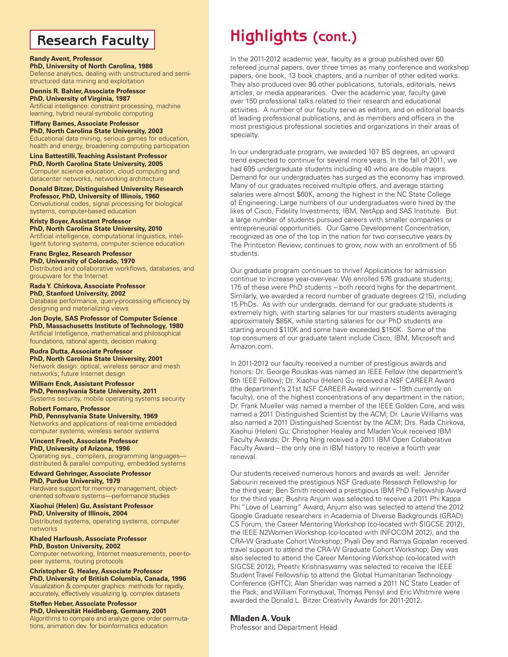#### **Research Faculty**

#### **Randy Avent, Professor**

**PhD, University of North Carolina, 1986** Defense analytics, dealing with unstructured and semistructured data mining and exploitation

**Dennis R. Bahler, Associate Professor PhD, University of Virginia, 1987** Artificial intelligence: constraint processing, machine learning, hybrid neural-symbolic computing

**Tiffany Barnes, Associate Professor PhD, North Carolina State University, 2003** Educational data mining, serious games for education, health and energy, broadening computing participation

**Lina Battestilli, Teaching Assistant Professor PhD, North Carolina State University, 2005** Computer science education, cloud computing and datacenter networks, networking architecture

**Donald Bitzer, Distinguished University Research Professor, PhD, University of Illinois, 1960** Convolutional codes, signal processing for biological systems, computer-based education

**Kristy Boyer, Assistant Professor PhD, North Carolina State University, 2010** Artificial intelligence, computational linguistics, intelligent tutoring systems, computer science education

**Franc Brglez, Research Professor PhD, University of Colorado, 1970** Distributed and collaborative workflows, databases, and groupware for the Internet

**Rada Y. Chirkova, Associate Professor PhD, Stanford University, 2002** Database performance, query-processing efficiency by designing and materializing views

**Jon Doyle, SAS Professor of Computer Science PhD, Massachusetts Institute of Technology, 1980** Artificial Intelligence, mathematical and philosophical foundations, rational agents, decision making

**Rudra Dutta, Associate Professor PhD, North Carolina State University, 2001** Network design: optical, wireless sensor and mesh networks; future Internet design

**William Enck, Assistant Professor PhD, Pennsylvania State University, 2011** Systems security, mobile operating systems security

**Robert Fornaro, Professor PhD, Pennsylvania State University, 1969**  Networks and applications of real-time embedded computer systems, wireless sensor systems

**Vincent Freeh, Associate Professor PhD, University of Arizona, 1996** Operating sys., compilers, programming languages distributed & parallel computing, embedded systems

**Edward Gehringer, Associate Professor PhD, Purdue University, 1979** Hardware support for memory management, objectoriented software systems—performance studies

**Xiaohui (Helen) Gu, Assistant Professor PhD, University of Illinois, 2004** Distributed systems, operating systems, computer networks

**Khaled Harfoush, Associate Professor PhD, Boston University, 2002** Computer networking, Internet measurements, peer-topeer systems, routing protocols

**Christopher G. Healey, Associate Professor PhD, University of British Columbia, Canada, 1996** Visualization & computer graphics: methods for rapidly, accurately, effectively visualizing lg. complex datasets

**Steffen Heber, Associate Professor PhD, Universität Heidleberg, Germany, 2001** Algorithms to compare and analyze gene order permutations, animation dev. for bioinformatics education

## **Highlights (cont.)**

In the 2011-2012 academic year, faculty as a group published over 60 refereed journal papers, over three times as many conference and workshop papers, one book, 13 book chapters, and a number of other edited works. They also produced over 90 other publications, tutorials, editorials, news articles, or media appearances. Over the academic year, faculty gave over 150 professional talks related to their research and educational activities. A number of our faculty serve as editors, and on editorial boards of leading professional publications, and as members and officers in the most prestigious professional societies and organizations in their areas of specialty.

In our undergraduate program, we awarded 107 BS degrees, an upward trend expected to continue for several more years. In the fall of 2011, we had 695 undergraduate students including 40 who are double majors. Demand for our undergraduates has surged as the economy has improved. Many of our graduates received multiple offers, and average starting salaries were almost \$60K, among the highest in the NC State College of Engineering. Large numbers of our undergraduates were hired by the likes of Cisco, Fidelity Investments, IBM, NetApp and SAS Institute. But a large number of students pursued careers with smaller companies or entrepreneurial opportunities. Our Game Development Concentration, recognized as one of the top in the nation for two consecutive years by The Printceton Review, continues to grow, now with an enrollment of 55 students.

Our graduate program continues to thrive! Applications for admission continue to increase year-over-year. We enrolled 576 graduate students; 175 of these were PhD students – both record highs for the department. Similarly, we awarded a record number of graduate degrees (215), including 15 PhDs. As with our undergrads, demand for our graduate students is extremely high, with starting salaries for our masters students averaging approximately \$85K, while starting salaries for our PhD students are starting around \$110K and some have exceeded \$150K. Some of the top consumers of our graduate talent include Cisco, IBM, Microsoft and Amazon.com.

In 2011-2012 our faculty received a number of prestigious awards and honors: Dr. George Rouskas was named an IEEE Fellow (the department's 6th IEEE Fellow); Dr. Xiaohui (Helen) Gu received a NSF CAREER Award (the department's 21st NSF CAREER Award winner – 19th currently on faculty), one of the highest concentrations of any department in the nation; Dr. Frank Mueller was named a member of the IEEE Golden Core, and was named a 2011 Distinguished Scientist by the ACM; Dr. Laurie Williams was also named a 2011 Distinguished Scientist by the ACM; Drs. Rada Chirkova, Xiaohui (Helen) Gu, Christopher Healey and Mladen Vouk received IBM Faculty Awards; Dr. Peng Ning received a 2011 IBM Open Collaborative Faculty Award – the only one in IBM history to receive a fourth year renewal.

Our students received numerous honors and awards as well: Jennifer Sabourin received the prestigious NSF Graduate Research Fellowship for the third year; Ben Smith received a prestigious IBM PhD Fellowship Award for the third year; Bushra Anjum was selected to receive a 2011 Phi Kappa Phi "Love of Learning" Award; Anjum also was selected to attend the 2012 Google Graduate researchers in Academia of Diverse Backgrounds (GRAD) CS Forum, the Career Mentoring Workshop (co-located with SIGCSE 2012), the IEEE N2Women Workshop (co-located with INFOCOM 2012), and the CRA-W Graduate Cohort Workshop; Piyali Dey and Ramya Gopalan received travel support to attend the CRA-W Graduate Cohort Workshop; Dey was also selected to attend the Career Mentoring Workshop (co-located with SIGCSE 2012); Preethi Krishnaswamy was selected to receive the IEEE Student Travel Fellowship to attend the Global Humanitarian Technology Conference (GHTC); Alan Sheridan was named a 2011 NC State Leader of the Pack; and William Formyduval, Thomas Pensyl and Eric Whitmire were awarded the Donald L. Bitzer Creativity Awards for 2011-2012.

#### **Mladen A. Vouk**

Professor and Department Head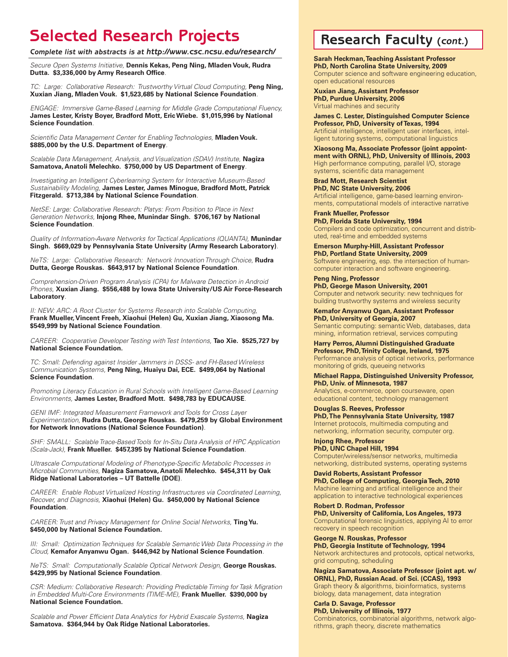### **Selected Research Projects Research Faculty (***cont.***)**

*Complete list with abstracts is at http://www.csc.ncsu.edu/research/*

*Secure Open Systems Initiative,* **Dennis Kekas, Peng Ning, Mladen Vouk, Rudra Dutta. \$3,336,000 by Army Research Office***.*

*TC: Large: Collaborative Research: Trustworthy Virtual Cloud Computing*, Peng Ning, **Xuxian Jiang, Mladen Vouk. \$1,523,685 by National Science Foundation***.*

*ENGAGE: Immersive Game-Based Learning for Middle Grade Computational Fluency,*  **James Lester, Kristy Boyer, Bradford Mott, Eric Wiebe. \$1,015,996 by National Science Foundation***.*

*Scientific Data Management Center for Enabling Technologies,* **Mladen Vouk. \$885,000 by the U.S. Department of Energy***.*

*Scalable Data Management, Analysis, and Visualization (SDAV) Institute,* **Nagiza Samatova, Anatoli Melechko. \$750,000 by US Department of Energy***.*

*Investigating an Intelligent Cyberlearning System for Interactive Museum-Based Sustainability Modeling,* **James Lester, James Minogue, Bradford Mott, Patrick Fitzgerald. \$713,384 by National Science Foundation***.*

*NetSE: Large: Collaborative Research: Platys: From Position to Place in Next Generation Networks,* **Injong Rhee, Munindar Singh. \$706,167 by National Science Foundation***.*

*Quality of Information-Aware Networks for Tactical Applications (QUANTA),* **Munindar Singh. \$669,029 by Pennsylvania State University (Army Research Laboratory)***.*

*NeTS: Large: Collaborative Research: Network Innovation Through Choice,* **Rudra Dutta, George Rouskas. \$643,917 by National Science Foundation***.*

*Comprehension-Driven Program Analysis (CPA) for Malware Detection in Android Phones,* **Xuxian Jiang. \$556,488 by Iowa State University/US Air Force-Research Laboratory***.*

**II: NEW: ARC: A Root Cluster for Systems Research into Scalable Computing, Frank Mueller, Vincent Freeh, Xiaohui (Helen) Gu, Xuxian Jiang, Xiaosong Ma. \$549,999 by National Science Foundation***.*

*CAREER: Cooperative Developer Testing with Test Intentions,* **Tao Xie. \$525,727 by National Science Foundation.**

*TC: Small: Defending against Insider Jammers in DSSS- and FH-Based Wireless Communication Systems,* **Peng Ning, Huaiyu Dai, ECE. \$499,064 by National Science Foundation***.*

*Promoting Literacy Education in Rural Schools with Intelligent Game-Based Learning Environments,* **James Lester, Bradford Mott. \$498,783 by EDUCAUSE***.*

*GENI IMF: Integrated Measurement Framework and Tools for Cross Layer Experimentation,* **Rudra Dutta, George Rouskas. \$479,259 by Global Environment for Network Innovations (National Science Foundation)***.*

*SHF: SMALL: Scalable Trace-Based Tools for In-Situ Data Analysis of HPC Application (Scala-Jack),* **Frank Mueller. \$457,395 by National Science Foundation***.*

*Ultrascale Computational Modeling of Phenotype-Specific Metabolic Processes in Microbial Communities,* **Nagiza Samatova, Anatoli Melechko. \$454,311 by Oak Ridge National Laboratories – UT Battelle (DOE)***.*

*CAREER: Enable Robust Virtualized Hosting Infrastructures via Coordinated Learning, Recover, and Diagnosis,* **Xiaohui (Helen) Gu. \$450,000 by National Science Foundation***.*

*CAREER: Trust and Privacy Management for Online Social Networks,* **Ting Yu. \$450,000 by National Science Foundation.**

*III: Small: Optimization Techniques for Scalable Semantic Web Data Processing in the Cloud,* **Kemafor Anyanwu Ogan. \$446,942 by National Science Foundation***.*

*NeTS: Small: Computationally Scalable Optical Network Design, George Rouskas.* **\$429,995 by National Science Foundation***.*

*CSR: Medium: Collaborative Research: Providing Predictable Timing for Task Migration in Embedded Multi-Core Environments (TIME-ME),* **Frank Mueller. \$390,000 by National Science Foundation.**

*Scalable and Power Efficient Data Analytics for Hybrid Exascale Systems,* **Nagiza Samatova. \$364,944 by Oak Ridge National Laboratories.**

**Sarah Heckman, Teaching Assistant Professor PhD, North Carolina State University, 2009** Computer science and software engineering education, open educational resources

**Xuxian Jiang, Assistant Professor PhD, Purdue University, 2006** Virtual machines and security

**James C. Lester, Distinguished Computer Science Professor, PhD, University of Texas, 1994** Artificial intelligence, intelligent user interfaces, intelligent tutoring systems, computational linguistics

**Xiaosong Ma, Associate Professor (joint appointment with ORNL), PhD, University of Illinois, 2003** High performance computing, parallel I/O, storage systems, scientific data management

**Brad Mott, Research Scientist PhD, NC State University, 2006** Artificial intelligence, game-based learning environments, computational models of interactive narrative

**Frank Mueller, Professor PhD, Florida State University, 1994** Compilers and code optimization, concurrent and distributed, real-time and embedded systems

**Emerson Murphy-Hill, Assistant Professor PhD, Portland State University, 2009** Software engineering, esp. the intersection of humancomputer interaction and software engineering.

**Peng Ning, Professor PhD, George Mason University, 2001** Computer and network security: new techniques for building trustworthy systems and wireless security

**Kemafor Anyanwu Ogan, Assistant Professor PhD, University of Georgia, 2007** Semantic computing: semantic Web, databases, data mining, information retrieval, services computing

**Harry Perros, Alumni Distinguished Graduate Professor, PhD, Trinity College, Ireland, 1975** Performance analysis of optical networks, performance monitoring of grids, queueing networks

**Michael Rappa, Distinguished University Professor, PhD, Univ. of Minnesota, 1987** Analytics, e-commerce, open courseware, open

educational content, technology management

**Douglas S. Reeves, Professor PhD, The Pennsylvania State University, 1987** Internet protocols, multimedia computing and networking, information security, computer org.

**Injong Rhee, Professor PhD, UNC Chapel Hill, 1994** Computer/wireless/sensor networks, multimedia networking, distributed systems, operating systems

**David Roberts, Assistant Professor PhD, College of Computing, Georgia Tech, 2010** Machine learning and artifical intelligence and their application to interactive technological experiences

**Robert D. Rodman, Professor PhD, University of California, Los Angeles, 1973** Computational forensic linguistics, applying AI to error recovery in speech recognition

**George N. Rouskas, Professor PhD, Georgia Institute of Technology, 1994** Network architectures and protocols, optical networks, grid computing, scheduling

**Nagiza Samatova, Associate Professor (joint apt. w/ ORNL), PhD, Russian Acad. of Sci. (CCAS), 1993** Graph theory & algorithms, bioinformatics, systems biology, data management, data integration

**Carla D. Savage, Professor PhD, University of Illinois, 1977** Combinatorics, combinatorial algorithms, network algorithms, graph theory, discrete mathematics